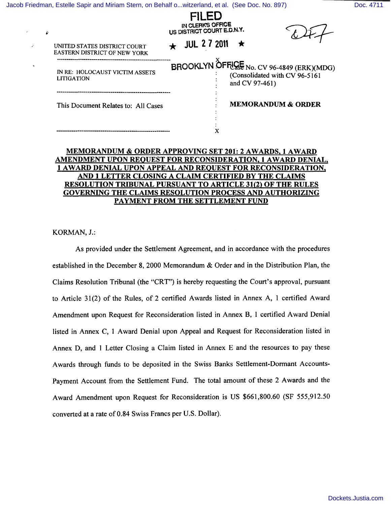[Jacob Friedman, Estelle Sapir and Miriam Stern, on Behalf o...witzerland, et al. \(See Doc. No. 897\)](http://dockets.justia.com/docket/new-york/nyedce/1:1996cv04849/146656/) [Doc. 4711](http://docs.justia.com/cases/federal/district-courts/new-york/nyedce/1:1996cv04849/146656/4711/)

| ê | IN CLERK'S OFFICE<br>US DISTRICT COURT E.D.N.Y.              |  |  |  |                     |  |                                                                                               |
|---|--------------------------------------------------------------|--|--|--|---------------------|--|-----------------------------------------------------------------------------------------------|
|   | UNITED STATES DISTRICT COURT<br>EASTERN DISTRICT OF NEW YORK |  |  |  | <b>JUL 2 7 2011</b> |  |                                                                                               |
|   | IN RE: HOLOCAUST VICTIM ASSETS<br><b>LITIGATION</b>          |  |  |  |                     |  | BROOKLYN ÔFFLOSE No. CV 96-4849 (ERK)(MDG)<br>(Consolidated with CV 96-5161<br>and CV 97-461) |
|   | This Document Relates to: All Cases                          |  |  |  |                     |  | <b>MEMORANDUM &amp; ORDER</b>                                                                 |
|   |                                                              |  |  |  |                     |  |                                                                                               |

FILED

#### MEMORANDUM & ORDER APPROVING SET 201: 2 AWARDS, 1 AWARD AMENDMENT UPON REQUEST FOR RECONSIDERATION, 1 AWARD DENIAL, 1 A WARD DENIAL UPON APPEAL AND REQUEST FOR RECONSIDERATION, AND 1 LETTER CLOSING A CLAIM CERTIFIED BY THE CLAIMS RESOLUTION TRIBUNAL PURSUANT TO ARTICLE 31(2) OF THE RULES GOVERNING THE CLAIMS RESOLUTION PROCESS AND AUTHORIZING PAYMENT FROM THE SETTLEMENT FUND

KORMAN, J.:

 $\mathcal{L}$ 

As provided under the Settlement Agreement, and in accordance with the procedures established in the December 8, 2000 Memorandum & Order and in the Distribution Plan, the Claims Resolution Tribunal (the "CRT") is hereby requesting the Court's approval, pursuant to Article 31(2) of the Rules, of 2 certified Awards listed in Annex A, 1 certified Award Amendment upon Request for Reconsideration listed in Annex B, I certified Award Denial listed in Annex C, 1 Award Denial upon Appeal and Request for Reconsideration listed in Annex D, and 1 Letter Closing a Claim listed in Annex E and the resources to pay these Awards through funds to be deposited in the Swiss Banks Settlement-Dormant Accounts-Payment Account from the Settlement Fund. The total amount of these 2 Awards and the Award Amendment upon Request for Reconsideration is US \$661,800.60 (SF 555,912.50 converted at a rate of 0.84 Swiss Francs per U.S. Dollar).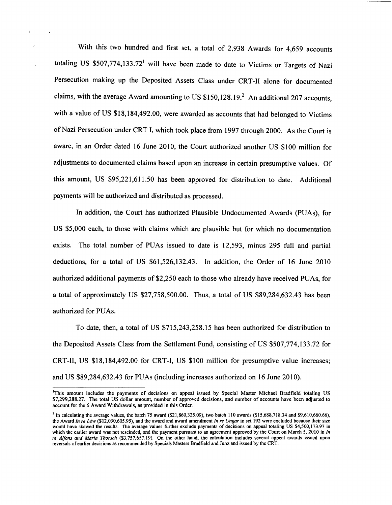With this two hundred and first set, a total of 2,938 Awards for 4,659 accounts totaling US  $$507,774,133.72$ <sup>1</sup> will have been made to date to Victims or Targets of Nazi Persecution making up the Deposited Assets Class under CRT-II alone for documented claims, with the average Award amounting to US  $$150,128.19<sup>2</sup>$  An additional 207 accounts, with a value of US \$18,184,492.00, were awarded as accounts that had belonged to Victims of Nazi Persecution under CRT I, which took place from 1997 through 2000. As the Court is aware, in an Order dated 16 June 2010, the Court authorized another US \$100 million for adjustments to documented claims based upon an increase in certain presumptive values. Of this amount, US \$95,221,61l.50 has been approved for distribution to date. Additional payments will be authorized and distributed as processed.

In addition, the Court has authorized Plausible Undocumented Awards (PUAs), for US \$5,000 each, to those with claims which are plausible but for which no documentation exists. The total number of PUAs issued to date is 12,593, minus 295 full and partial deductions, for a total of US \$61,526,132.43. In addition, the Order of 16 June 2010 authorized additional payments of \$2,250 each to those who already have received PUAs, for a total of approximately US \$27,758,500.00. Thus, a total of US \$89,284,632.43 has been authorized for PUAs.

To date, then, a total of US \$715,243,258.l5 has been authorized for distribution to the Deposited Assets Class from the Settlement Fund, consisting of US \$507,774,133.72 for CRT-II, US \$18,184,492.00 for CRT-I, US \$100 million for presumptive value increases; and US \$89,284,632.43 for PUAs (including increases authorized on 16 June 2010).

 $\cdot$ 

<sup>&#</sup>x27;This amount includes the payments of decisions on appeal issued by Special Master Michael Bradfield totaling US \$7,299,288.27. The total US dollar amount, number of approved decisions, and number of accounts have been adjusted to account for the 6 Award Withdrawals, as provided in this Order. .

<sup>&</sup>lt;sup>2</sup> In calculating the average values, the batch 75 award (\$21,860,325.09), two batch 110 awards (\$15,688,718.34 and \$9,610,660.66), the Award *In re Low* (\$12,030,605.95), and the award and award amendment *In re Ungar* in set 192 were excluded because their size would have skewed the results. The average values further exclude payments of decisions on appeal totaling US \$4,500,173.97 in which the earlier award was not rescinded, and the payment pursuant to an agreement approved by the Court on March 5, 2010 in *In re Alfons and Maria Thorsch* (\$3,757,657.19). On the other hand, the calculation includes several appeal awards issued upon reversals of earlier decisions as recommended by Specials Masters Bradfield and Junz and issued by the CRT.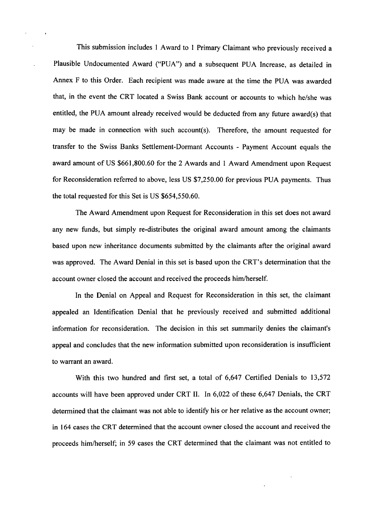This submission includes 1 Award to 1 Primary Claimant who previously received a Plausible Undocumented Award ("PUA") and a subsequent PUA Increase, as detailed in Annex F to this Order. Each recipient was made aware at the time the PUA was awarded that, in the event the CRT located a Swiss Bank account or accounts to which he/she was entitled, the PUA amount already received would be deducted from any future award(s) that may be made in connection with such account(s). Therefore, the amount requested for transfer to the Swiss Banks Settlement-Dormant Accounts - Payment Account equals the award amount of US \$661,800.60 for the 2 Awards and 1 Award Amendment upon Request for Reconsideration referred to above, less US \$7,250.00 for previous PUA payments. Thus the total requested for this Set is US \$654,550.60.

The Award Amendment upon Request for Reconsideration in this set does not award any new funds, but simply re-distributes the original award amount among the claimants based upon new inheritance documents submitted by the claimants after the original award was approved. The Award Denial in this set is based upon the CRT's determination that the account owner closed the account and received the proceeds him/herself.

In the Denial on Appeal and Request for Reconsideration in this set, the claimant appealed an Identification Denial that he previously received and submitted additional information for reconsideration. The decision in this set summarily denies the claimant's appeal and concludes that the new information submitted upon reconsideration is insufficient to warrant an award.

With this two hundred and first set, a total of 6,647 Certified Denials to 13,572 accounts will have been approved under CRT II. In 6,022 of these 6,647 Denials, the CRT determined that the claimant was not able to identify his or her relative as the account owner; in 164 cases the CRT determined that the account owner closed the account and received the proceeds himlherself; in 59 cases the CRT determined that the claimant was not entitled to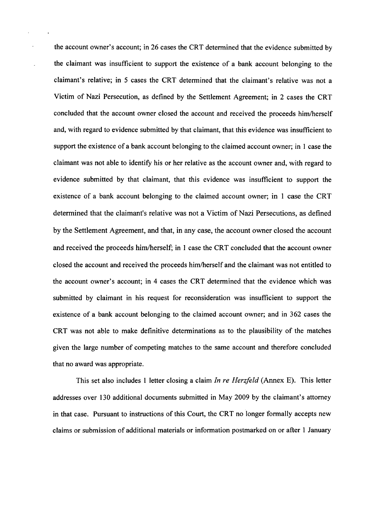the account owner's account; in 26 cases the CRT determined that the evidence submitted by the claimant was insufficient to support the existence of a bank account belonging to the claimant's relative; in 5 cases the CRT determined that the claimant's relative was not a Victim of Nazi Persecution, as defined by the Settlement Agreement; in 2 cases the CRT concluded that the account owner closed the account and received the proceeds himlherself and, with regard to evidence submitted by that claimant, that this evidence was insufficient to support the existence of a bank account belonging to the claimed account owner; in 1 case the claimant was not able to identifY his or her relative as the account owner and, with regard to evidence submitted by that claimant, that this evidence was insufficient to support the existence of a bank account belonging to the claimed account owner; in 1 case the CRT determined that the claimant's relative was not a Victim of Nazi Persecutions, as defined by the Settlement Agreement, and that, in any case, the account owner closed the account and received the proceeds him/herself; in 1 case the CRT concluded that the account owner closed the account and received the proceeds himlherself and the claimant was not entitled to the account owner's account; in 4 cases the CRT determined that the evidence which was submitted by claimant in his request for reconsideration was insufficient to support the existence of a bank account belonging to the claimed account owner; and in 362 cases the CRT was not able to make definitive determinations as to the plausibility of the matches given the large number of competing matches to the same account and therefore concluded that no award was appropriate.

 $\mathbf{r}$ 

This set also includes 1 letter closing a claim *In re Herzfeld* (Annex E). This letter addresses over l30 additional documents submitted in May 2009 by the claimant's attorney in that case. Pursuant to instructions of this Court, the CRT no longer formally accepts new claims or submission of additional materials or information postmarked on or after 1 January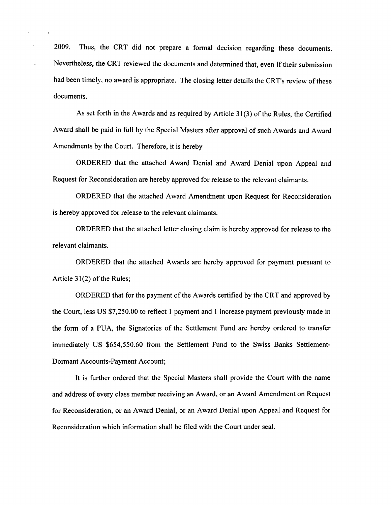2009. Thus, the CRT did not prepare a formal decision regarding these documents. Nevertheless, the CRT reviewed the documents and determined that, even if their submission had been timely, no award is appropriate. The closing letter details the CRT's review of these documents.

 $\ddot{\phantom{0}}$ 

As set forth in the Awards and as required by Article 31(3) of the Rules, the Certified Award shall be paid in full by the Special Masters after approval of such Awards and Award Amendments by the Court. Therefore, it is hereby

ORDERED that the attached Award Denial and Award Denial upon Appeal and Request for Reconsideration are hereby approved for release to the relevant claimants.

ORDERED that the attached Award Amendment upon Request for Reconsideration is hereby approved for release to the relevant claimants.

ORDERED that the attached letter closing claim is hereby approved for release to the relevant claimants.

ORDERED that the attached Awards are hereby approved for payment pursuant to Article  $31(2)$  of the Rules;

ORDERED that for the payment of the Awards certified by the CRT and approved by the Court, less US \$7,250.00 to reflect 1 payment and 1 increase payment previously made in the form of a PUA, the Signatories of the Settlement Fund are hereby ordered to transfer immediately US \$654,550.60 from the Settlement Fund to the Swiss Banks Settlement-Dormant Accounts-Payment Account;

It is further ordered that the Special Masters shall provide the Court with the name and address of every class member receiving an Award, or an Award Amendment on Request for Reconsideration, or an Award Denial, or an Award Denial upon Appeal and Request for Reconsideration which information shall be filed with the Court under seal.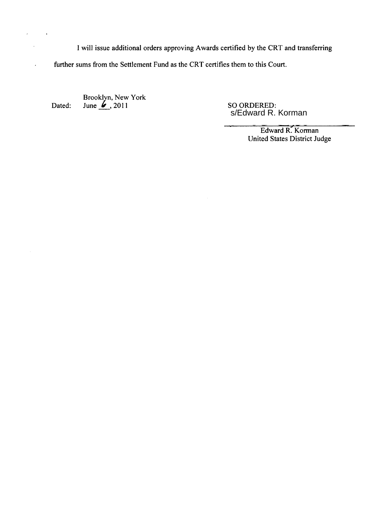I will issue additional orders approving Awards certified by the CRT and transferring

further sums from the Settlement Fund as the CRT certifies them to this Court.

Dated: Brooklyn, New York June  $\frac{1}{2}$ , 2011 SO ORDERED:

 $\bar{\epsilon}$ 

 $\hat{\mathcal{A}}$ 

 $\mathbb{R}^2$ 

 $\sim 10$ 

so ORDERED:<br>s/Edward R. Korman

Edward R. Korman United States District Judge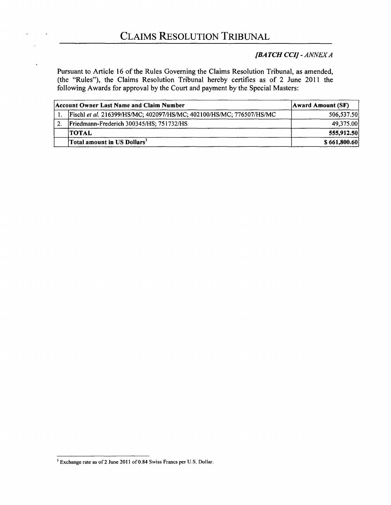## *[BATCH CCI]* - *ANNEX A*

Pursuant to Article 16 of the Rules Governing the Claims Resolution Tribunal, as amended, (the "Rules"), the Claims Resolution Tribunal hereby certifies as of 2 June 2011 the following Awards for approval by the Court and payment by the Special Masters:

| Account Owner Last Name and Claim Number                             | <b>Award Amount (SF)</b> |  |
|----------------------------------------------------------------------|--------------------------|--|
| Fischl et al. 216399/HS/MC; 402097/HS/MC; 402100/HS/MC; 776507/HS/MC | 506,537.50               |  |
| Friedmann-Frederich 300345/HS; 751732/HS                             | 49,375.00                |  |
| <b>TOTAL</b>                                                         | 555,912.50               |  |
| Total amount in US Dollars <sup>3</sup>                              | \$661,800.60             |  |

 $3$  Exchange rate as of 2 June 2011 of 0.84 Swiss Francs per U.S. Dollar.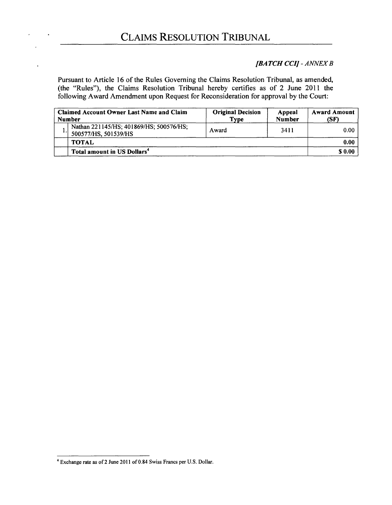#### *[BATCH CCII* - *ANNEX B*

Pursuant to Article 16 of the Rules Governing the Claims Resolution Tribunal, as amended, (the "Rules"), the Claims Resolution Tribunal hereby certifies as of 2 June 2011 the following Award Amendment upon Request for Reconsideration for approval by the Court:

| <b>Claimed Account Owner Last Name and Claim</b><br><b>Number</b> |                                                                 | <b>Original Decision</b><br><b>Type</b> | Appeal<br><b>Number</b> | <b>Award Amount</b><br>(SF) |
|-------------------------------------------------------------------|-----------------------------------------------------------------|-----------------------------------------|-------------------------|-----------------------------|
|                                                                   | Nathan 221145/HS; 401869/HS; 500576/HS;<br>500577/HS, 501539/HS | Award                                   | 3411                    | 0.00                        |
|                                                                   | <b>TOTAL</b>                                                    |                                         |                         | 0.00                        |
|                                                                   | Total amount in US Dollars <sup>4</sup>                         |                                         |                         | \$0.00                      |

<sup>4</sup> Exchange rate as of2 June 2011 of 0.84 Swiss Francs per U.S. Dollar.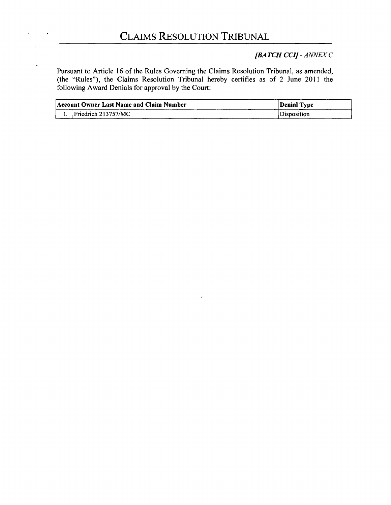# *[BATCH CCII* - *ANNEX* C

Pursuant to Article 16 of the Rules Governing the Claims Resolution Tribunal, as amended, (the "Rules"), the Claims Resolution Tribunal hereby certifies as of 2 June 2011 the following Award Denials for approval by the Court:

| Account Owner Last Name and Claim Number | Denial Type |
|------------------------------------------|-------------|
| $l$ Friedrich 213757/MC                  | Disposition |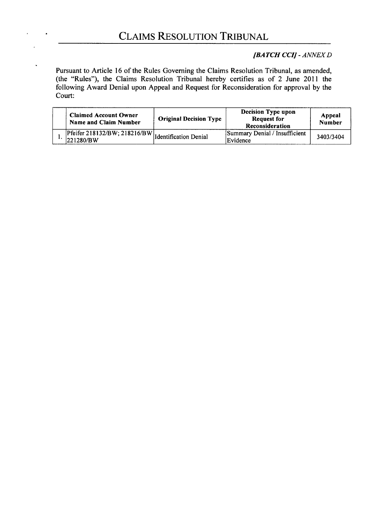## *{BATCH CCII* - *ANNEX D*

Pursuant to Article 16 of the Rules Governing the Claims Resolution Tribunal, as amended, (the "Rules"), the Claims Resolution Tribunal hereby certifies as of 2 June 2011 the following Award Denial upon Appeal and Request for Reconsideration for approval by the Court:

| <b>Claimed Account Owner</b><br>Name and Claim Number                       | <b>Original Decision Type</b> | <b>Decision Type upon</b><br><b>Request for</b><br>Reconsideration | Appeal<br><b>Number</b> |
|-----------------------------------------------------------------------------|-------------------------------|--------------------------------------------------------------------|-------------------------|
| .   Pfeifer $218132/BW$ ; $218216/BW$   Identification Denial<br> 221280/BW |                               | Summary Denial / Insufficient<br>Evidence                          | 3403/3404               |